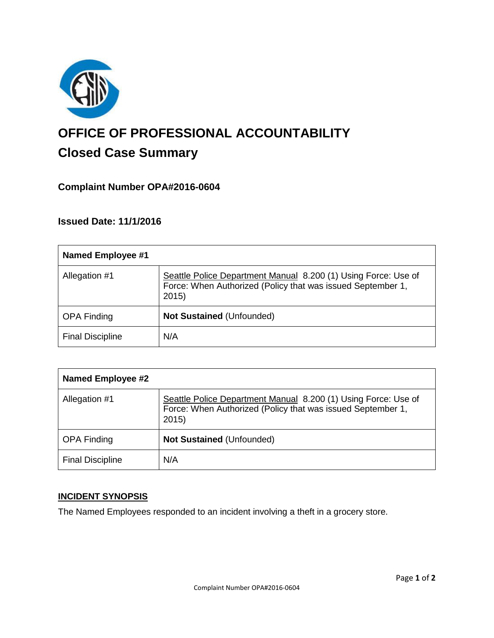

# **OFFICE OF PROFESSIONAL ACCOUNTABILITY Closed Case Summary**

## **Complaint Number OPA#2016-0604**

## **Issued Date: 11/1/2016**

| <b>Named Employee #1</b> |                                                                                                                                       |
|--------------------------|---------------------------------------------------------------------------------------------------------------------------------------|
| Allegation #1            | Seattle Police Department Manual 8.200 (1) Using Force: Use of<br>Force: When Authorized (Policy that was issued September 1,<br>2015 |
| <b>OPA Finding</b>       | <b>Not Sustained (Unfounded)</b>                                                                                                      |
| <b>Final Discipline</b>  | N/A                                                                                                                                   |

| <b>Named Employee #2</b> |                                                                                                                                       |
|--------------------------|---------------------------------------------------------------------------------------------------------------------------------------|
| Allegation #1            | Seattle Police Department Manual 8.200 (1) Using Force: Use of<br>Force: When Authorized (Policy that was issued September 1,<br>2015 |
| <b>OPA Finding</b>       | <b>Not Sustained (Unfounded)</b>                                                                                                      |
| <b>Final Discipline</b>  | N/A                                                                                                                                   |

## **INCIDENT SYNOPSIS**

The Named Employees responded to an incident involving a theft in a grocery store.